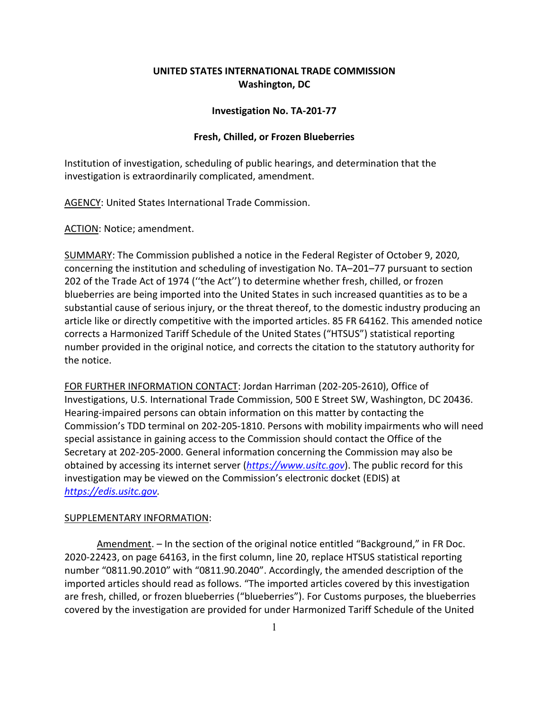## **UNITED STATES INTERNATIONAL TRADE COMMISSION Washington, DC**

## **Investigation No. TA-201-77**

## **Fresh, Chilled, or Frozen Blueberries**

Institution of investigation, scheduling of public hearings, and determination that the investigation is extraordinarily complicated, amendment.

AGENCY: United States International Trade Commission.

ACTION: Notice; amendment.

SUMMARY: The Commission published a notice in the Federal Register of October 9, 2020, concerning the institution and scheduling of investigation No. TA–201–77 pursuant to section 202 of the Trade Act of 1974 (''the Act'') to determine whether fresh, chilled, or frozen blueberries are being imported into the United States in such increased quantities as to be a substantial cause of serious injury, or the threat thereof, to the domestic industry producing an article like or directly competitive with the imported articles. 85 FR 64162. This amended notice corrects a Harmonized Tariff Schedule of the United States ("HTSUS") statistical reporting number provided in the original notice, and corrects the citation to the statutory authority for the notice.

FOR FURTHER INFORMATION CONTACT: Jordan Harriman (202-205-2610), Office of Investigations, U.S. International Trade Commission, 500 E Street SW, Washington, DC 20436. Hearing-impaired persons can obtain information on this matter by contacting the Commission's TDD terminal on 202-205-1810. Persons with mobility impairments who will need special assistance in gaining access to the Commission should contact the Office of the Secretary at 202-205-2000. General information concerning the Commission may also be obtained by accessing its internet server (*[https://www.usitc.gov](https://www.usitc.gov/)*). The public record for this investigation may be viewed on the Commission's electronic docket (EDIS) at *[https://edis.usitc.gov.](https://edis.usitc.gov/)*

## SUPPLEMENTARY INFORMATION:

Amendment. – In the section of the original notice entitled "Background," in FR Doc. 2020-22423, on page 64163, in the first column, line 20, replace HTSUS statistical reporting number "0811.90.2010" with "0811.90.2040". Accordingly, the amended description of the imported articles should read as follows. "The imported articles covered by this investigation are fresh, chilled, or frozen blueberries ("blueberries"). For Customs purposes, the blueberries covered by the investigation are provided for under Harmonized Tariff Schedule of the United